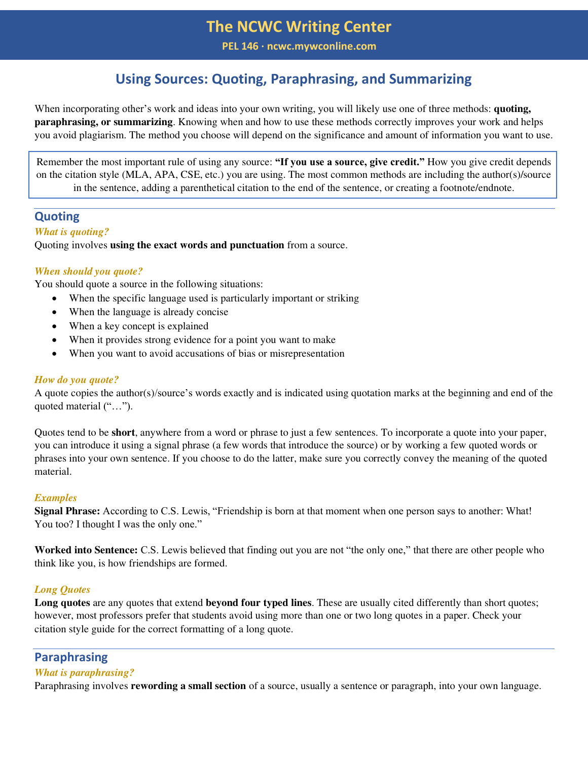**PEL 146 ∙ ncwc.mywconline.com** 

# **Using Sources: Quoting, Paraphrasing, and Summarizing**

When incorporating other's work and ideas into your own writing, you will likely use one of three methods: **quoting, paraphrasing, or summarizing**. Knowing when and how to use these methods correctly improves your work and helps you avoid plagiarism. The method you choose will depend on the significance and amount of information you want to use.

Remember the most important rule of using any source: **"If you use a source, give credit."** How you give credit depends on the citation style (MLA, APA, CSE, etc.) you are using. The most common methods are including the author(s)/source in the sentence, adding a parenthetical citation to the end of the sentence, or creating a footnote/endnote.

## **Quoting**

### *What is quoting?*

Quoting involves **using the exact words and punctuation** from a source.

## *When should you quote?*

You should quote a source in the following situations:

- When the specific language used is particularly important or striking
- When the language is already concise
- When a key concept is explained
- When it provides strong evidence for a point you want to make
- When you want to avoid accusations of bias or misrepresentation

### *How do you quote?*

A quote copies the author(s)/source's words exactly and is indicated using quotation marks at the beginning and end of the quoted material ("...").

Quotes tend to be **short**, anywhere from a word or phrase to just a few sentences. To incorporate a quote into your paper, you can introduce it using a signal phrase (a few words that introduce the source) or by working a few quoted words or phrases into your own sentence. If you choose to do the latter, make sure you correctly convey the meaning of the quoted material.

### *Examples*

**Signal Phrase:** According to C.S. Lewis, "Friendship is born at that moment when one person says to another: What! You too? I thought I was the only one."

**Worked into Sentence:** C.S. Lewis believed that finding out you are not "the only one," that there are other people who think like you, is how friendships are formed.

### *Long Quotes*

**Long quotes** are any quotes that extend **beyond four typed lines**. These are usually cited differently than short quotes; however, most professors prefer that students avoid using more than one or two long quotes in a paper. Check your citation style guide for the correct formatting of a long quote.

# **Paraphrasing**

## *What is paraphrasing?*

Paraphrasing involves **rewording a small section** of a source, usually a sentence or paragraph, into your own language.